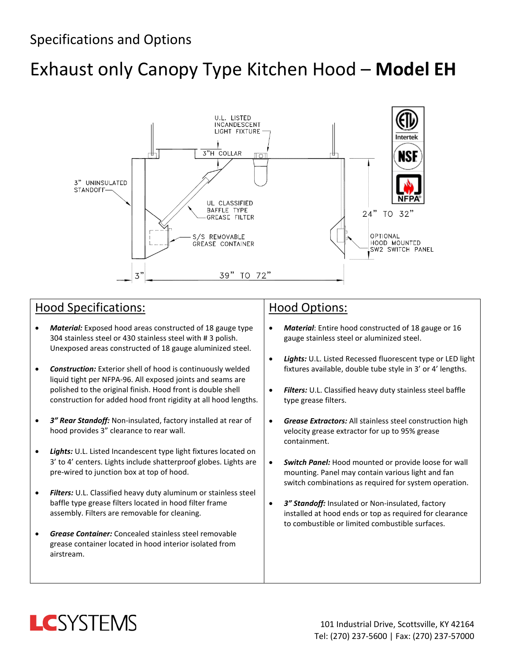# Exhaust only Canopy Type Kitchen Hood – **Model EH**



### Hood Specifications:

- *Material:* Exposed hood areas constructed of 18 gauge type 304 stainless steel or 430 stainless steel with # 3 polish. Unexposed areas constructed of 18 gauge aluminized steel.
- *Construction:* Exterior shell of hood is continuously welded liquid tight per NFPA-96. All exposed joints and seams are polished to the original finish. Hood front is double shell construction for added hood front rigidity at all hood lengths.
- *3" Rear Standoff:* Non-insulated, factory installed at rear of hood provides 3" clearance to rear wall.
- *Lights:* U.L. Listed Incandescent type light fixtures located on 3' to 4' centers. Lights include shatterproof globes. Lights are pre-wired to junction box at top of hood.
- *Filters:* U.L. Classified heavy duty aluminum or stainless steel baffle type grease filters located in hood filter frame assembly. Filters are removable for cleaning.
- *Grease Container:* Concealed stainless steel removable grease container located in hood interior isolated from airstream.

#### Hood Options:

- *Material*: Entire hood constructed of 18 gauge or 16 gauge stainless steel or aluminized steel.
- *Lights:* U.L. Listed Recessed fluorescent type or LED light fixtures available, double tube style in 3' or 4' lengths.
- *Filters:* U.L. Classified heavy duty stainless steel baffle type grease filters.
- *Grease Extractors:* All stainless steel construction high velocity grease extractor for up to 95% grease containment.
- *Switch Panel:* Hood mounted or provide loose for wall mounting. Panel may contain various light and fan switch combinations as required for system operation.
- *3" Standoff:* Insulated or Non-insulated, factory installed at hood ends or top as required for clearance to combustible or limited combustible surfaces.

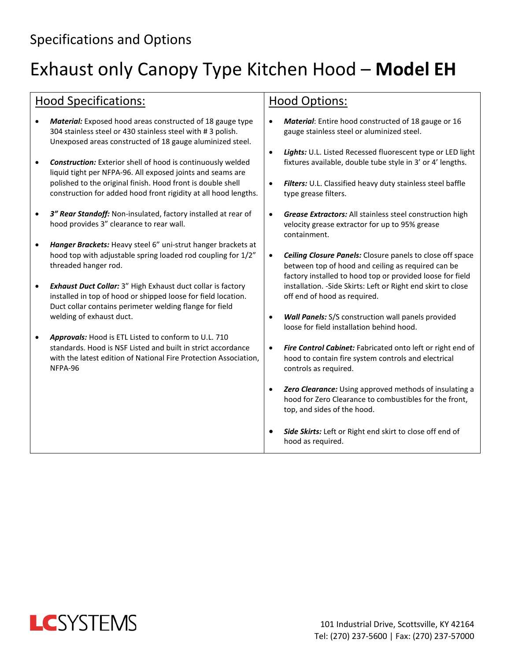### Specifications and Options

## Exhaust only Canopy Type Kitchen Hood – **Model EH**

#### Hood Specifications:

- *Material:* Exposed hood areas constructed of 18 gauge type 304 stainless steel or 430 stainless steel with # 3 polish. Unexposed areas constructed of 18 gauge aluminized steel.
- *Construction:* Exterior shell of hood is continuously welded liquid tight per NFPA-96. All exposed joints and seams are polished to the original finish. Hood front is double shell construction for added hood front rigidity at all hood lengths.
- *3" Rear Standoff:* Non-insulated, factory installed at rear of hood provides 3" clearance to rear wall.
- *Hanger Brackets:* Heavy steel 6" uni-strut hanger brackets at hood top with adjustable spring loaded rod coupling for 1/2" threaded hanger rod.
- *Exhaust Duct Collar:* 3" High Exhaust duct collar is factory installed in top of hood or shipped loose for field location. Duct collar contains perimeter welding flange for field welding of exhaust duct.
- *Approvals:* Hood is ETL Listed to conform to U.L. 710 standards. Hood is NSF Listed and built in strict accordance with the latest edition of National Fire Protection Association, NFPA-96

#### Hood Options:

- *Material*: Entire hood constructed of 18 gauge or 16 gauge stainless steel or aluminized steel.
- *Lights:* U.L. Listed Recessed fluorescent type or LED light fixtures available, double tube style in 3' or 4' lengths.
- *Filters:* U.L. Classified heavy duty stainless steel baffle type grease filters.
- *Grease Extractors:* All stainless steel construction high velocity grease extractor for up to 95% grease containment.
- *Ceiling Closure Panels:* Closure panels to close off space between top of hood and ceiling as required can be factory installed to hood top or provided loose for field installation. -Side Skirts: Left or Right end skirt to close off end of hood as required.
- *Wall Panels:* S/S construction wall panels provided loose for field installation behind hood.
- *Fire Control Cabinet:* Fabricated onto left or right end of hood to contain fire system controls and electrical controls as required.
- *Zero Clearance:* Using approved methods of insulating a hood for Zero Clearance to combustibles for the front, top, and sides of the hood.
- *Side Skirts:* Left or Right end skirt to close off end of hood as required.